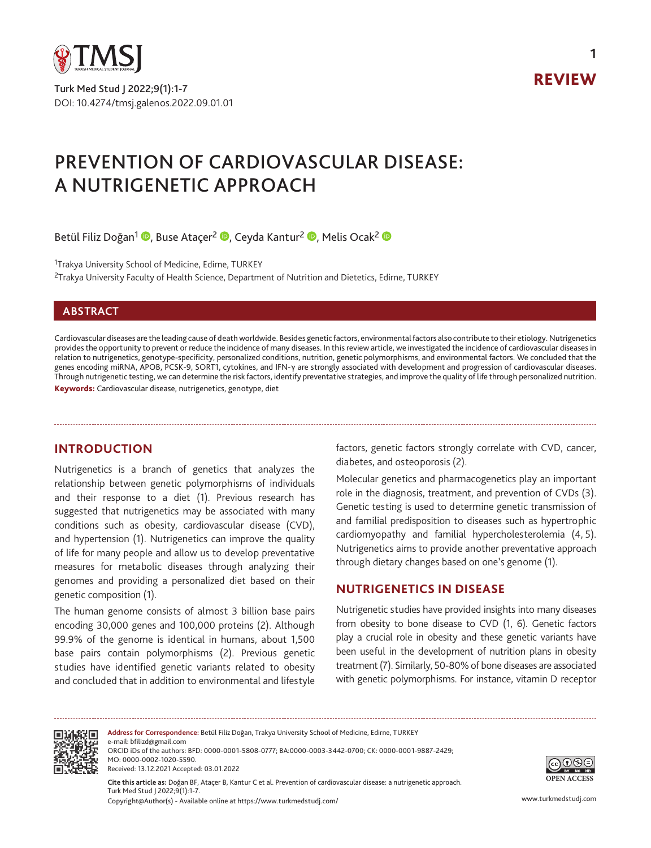

Turk Med Stud J 2022;9(1):1-7 DOI: 10.4274/tmsj.galenos.2022.09.01.01



**1**

# PREVENTION OF CARDIOVASCULAR DISEASE: A NUTRIGENETIC APPROACH

Betül Filiz Doğan<sup>1</sup> (D[,](https://orcid.org/0000-0003-3442-0700) Buse Ataçer<sup>2</sup> (D, Ceyda Kantur<sup>2</sup> (D, Melis Ocak<sup>2</sup> (D

<sup>1</sup>Trakya University School of Medicine, Edirne, TURKEY

<sup>2</sup>Trakya University Faculty of Health Science, Department of Nutrition and Dietetics, Edirne, TURKEY

## **ABSTRACT**

Cardiovascular diseases are the leading cause of death worldwide. Besides genetic factors, environmental factors also contribute to their etiology. Nutrigenetics provides the opportunity to prevent or reduce the incidence of many diseases. In this review article, we investigated the incidence of cardiovascular diseases in relation to nutrigenetics, genotype-specificity, personalized conditions, nutrition, genetic polymorphisms, and environmental factors. We concluded that the genes encoding miRNA, APOB, PCSK-9, SORT1, cytokines, and IFN-γ are strongly associated with development and progression of cardiovascular diseases. Through nutrigenetic testing, we can determine the risk factors, identify preventative strategies, and improve the quality of life through personalized nutrition. Keywords: Cardiovascular disease, nutrigenetics, genotype, diet

# **INTRODUCTION**

Nutrigenetics is a branch of genetics that analyzes the relationship between genetic polymorphisms of individuals and their response to a diet (1). Previous research has suggested that nutrigenetics may be associated with many conditions such as obesity, cardiovascular disease (CVD), and hypertension (1). Nutrigenetics can improve the quality of life for many people and allow us to develop preventative measures for metabolic diseases through analyzing their genomes and providing a personalized diet based on their genetic composition (1).

The human genome consists of almost 3 billion base pairs encoding 30,000 genes and 100,000 proteins (2). Although 99.9% of the genome is identical in humans, about 1,500 base pairs contain polymorphisms (2). Previous genetic studies have identified genetic variants related to obesity and concluded that in addition to environmental and lifestyle

factors, genetic factors strongly correlate with CVD, cancer, diabetes, and osteoporosis (2).

Molecular genetics and pharmacogenetics play an important role in the diagnosis, treatment, and prevention of CVDs (3). Genetic testing is used to determine genetic transmission of and familial predisposition to diseases such as hypertrophic cardiomyopathy and familial hypercholesterolemia (4, 5). Nutrigenetics aims to provide another preventative approach through dietary changes based on one's genome (1).

# **NUTRIGENETICS IN DISEASE**

Nutrigenetic studies have provided insights into many diseases from obesity to bone disease to CVD (1, 6). Genetic factors play a crucial role in obesity and these genetic variants have been useful in the development of nutrition plans in obesity treatment (7). Similarly, 50-80% of bone diseases are associated with genetic polymorphisms. For instance, vitamin D receptor



**Address for Correspondence:** Betül Filiz Doğan, Trakya University School of Medicine, Edirne, TURKEY e-mail: bfilizd@gmail.com ORCID iDs of the authors: BFD: 0000-0001-5808-0777; BA:0000-0003-3442-0700; CK: 0000-0001-9887-2429; MO: 0000-0002-1020-5590. Received: 13.12.2021 Accepted: 03.01.2022



Copyright@Author(s) - Available online at https://www.turkmedstudj.com/ www.turkmedstudj.com **Cite this article as:** Doğan BF, Ataçer B, Kantur C et al. Prevention of cardiovascular disease: a nutrigenetic approach. Turk Med Stud J 2022;9(1):1-7.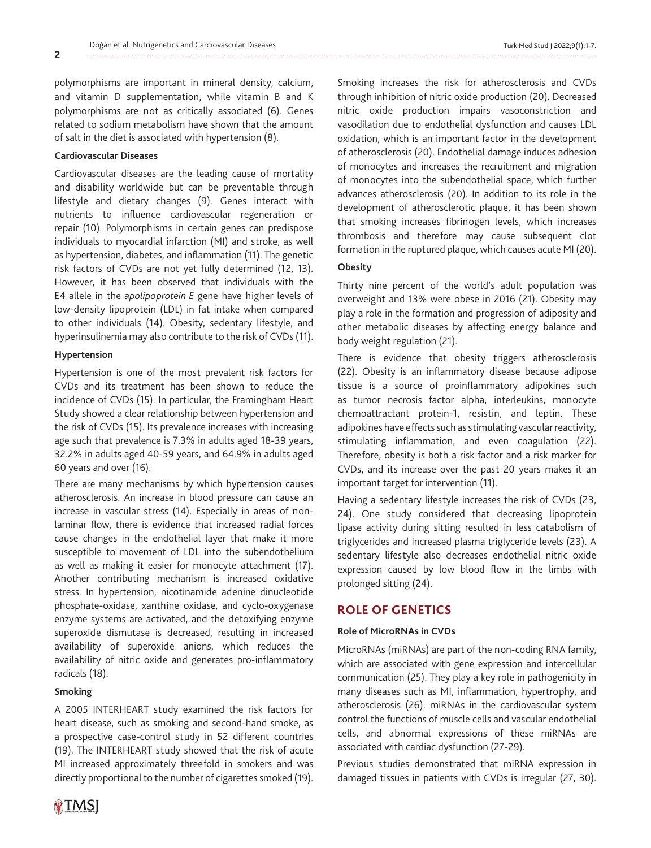polymorphisms are important in mineral density, calcium, and vitamin D supplementation, while vitamin B and K polymorphisms are not as critically associated (6). Genes related to sodium metabolism have shown that the amount of salt in the diet is associated with hypertension (8).

## **Cardiovascular Diseases**

Cardiovascular diseases are the leading cause of mortality and disability worldwide but can be preventable through lifestyle and dietary changes (9). Genes interact with nutrients to influence cardiovascular regeneration or repair (10). Polymorphisms in certain genes can predispose individuals to myocardial infarction (MI) and stroke, as well as hypertension, diabetes, and inflammation (11). The genetic risk factors of CVDs are not yet fully determined (12, 13). However, it has been observed that individuals with the E4 allele in the *apolipoprotein E* gene have higher levels of low-density lipoprotein (LDL) in fat intake when compared to other individuals (14). Obesity, sedentary lifestyle, and hyperinsulinemia may also contribute to the risk of CVDs (11).

#### **Hypertension**

Hypertension is one of the most prevalent risk factors for CVDs and its treatment has been shown to reduce the incidence of CVDs (15). In particular, the Framingham Heart Study showed a clear relationship between hypertension and the risk of CVDs (15). Its prevalence increases with increasing age such that prevalence is 7.3% in adults aged 18-39 years, 32.2% in adults aged 40-59 years, and 64.9% in adults aged 60 years and over (16).

There are many mechanisms by which hypertension causes atherosclerosis. An increase in blood pressure can cause an increase in vascular stress (14). Especially in areas of nonlaminar flow, there is evidence that increased radial forces cause changes in the endothelial layer that make it more susceptible to movement of LDL into the subendothelium as well as making it easier for monocyte attachment (17). Another contributing mechanism is increased oxidative stress. In hypertension, nicotinamide adenine dinucleotide phosphate-oxidase, xanthine oxidase, and cyclo-oxygenase enzyme systems are activated, and the detoxifying enzyme superoxide dismutase is decreased, resulting in increased availability of superoxide anions, which reduces the availability of nitric oxide and generates pro-inflammatory radicals (18).

#### **Smoking**

A 2005 INTERHEART study examined the risk factors for heart disease, such as smoking and second-hand smoke, as a prospective case-control study in 52 different countries (19). The INTERHEART study showed that the risk of acute MI increased approximately threefold in smokers and was directly proportional to the number of cigarettes smoked (19).

Smoking increases the risk for atherosclerosis and CVDs through inhibition of nitric oxide production (20). Decreased nitric oxide production impairs vasoconstriction and vasodilation due to endothelial dysfunction and causes LDL oxidation, which is an important factor in the development of atherosclerosis (20). Endothelial damage induces adhesion of monocytes and increases the recruitment and migration of monocytes into the subendothelial space, which further advances atherosclerosis (20). In addition to its role in the development of atherosclerotic plaque, it has been shown that smoking increases fibrinogen levels, which increases thrombosis and therefore may cause subsequent clot formation in the ruptured plaque, which causes acute MI (20).

#### **Obesity**

Thirty nine percent of the world's adult population was overweight and 13% were obese in 2016 (21). Obesity may play a role in the formation and progression of adiposity and other metabolic diseases by affecting energy balance and body weight regulation (21).

There is evidence that obesity triggers atherosclerosis (22). Obesity is an inflammatory disease because adipose tissue is a source of proinflammatory adipokines such as tumor necrosis factor alpha, interleukins, monocyte chemoattractant protein-1, resistin, and leptin. These adipokines have effects such as stimulating vascular reactivity, stimulating inflammation, and even coagulation (22). Therefore, obesity is both a risk factor and a risk marker for CVDs, and its increase over the past 20 years makes it an important target for intervention (11).

Having a sedentary lifestyle increases the risk of CVDs (23, 24). One study considered that decreasing lipoprotein lipase activity during sitting resulted in less catabolism of triglycerides and increased plasma triglyceride levels (23). A sedentary lifestyle also decreases endothelial nitric oxide expression caused by low blood flow in the limbs with prolonged sitting (24).

## **ROLE OF GENETICS**

## **Role of MicroRNAs in CVDs**

MicroRNAs (miRNAs) are part of the non-coding RNA family, which are associated with gene expression and intercellular communication (25). They play a key role in pathogenicity in many diseases such as MI, inflammation, hypertrophy, and atherosclerosis (26). miRNAs in the cardiovascular system control the functions of muscle cells and vascular endothelial cells, and abnormal expressions of these miRNAs are associated with cardiac dysfunction (27-29).

Previous studies demonstrated that miRNA expression in damaged tissues in patients with CVDs is irregular (27, 30).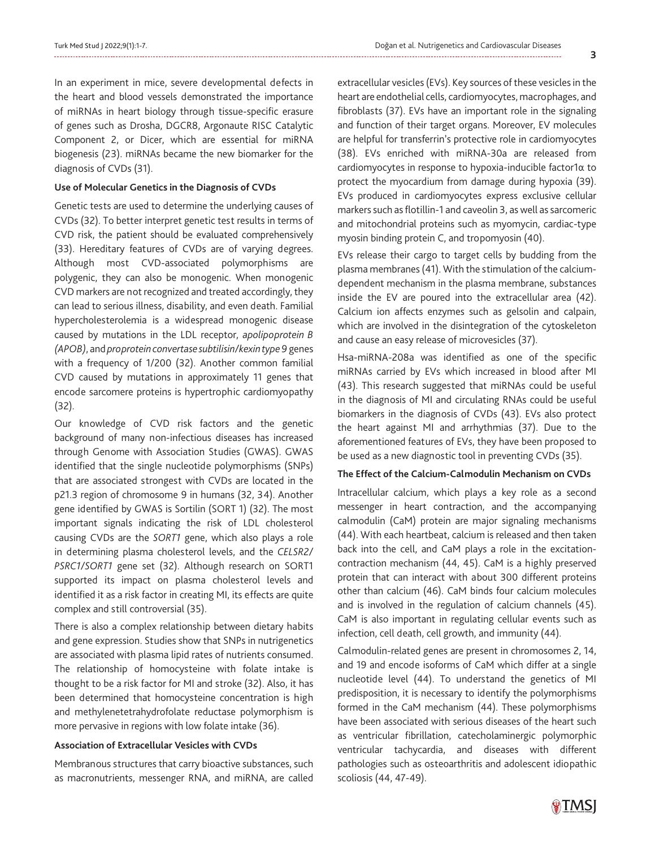In an experiment in mice, severe developmental defects in the heart and blood vessels demonstrated the importance of miRNAs in heart biology through tissue-specific erasure of genes such as Drosha, DGCR8, Argonaute RISC Catalytic Component 2, or Dicer, which are essential for miRNA biogenesis (23). miRNAs became the new biomarker for the diagnosis of CVDs (31).

#### **Use of Molecular Genetics in the Diagnosis of CVDs**

Genetic tests are used to determine the underlying causes of CVDs (32). To better interpret genetic test results in terms of CVD risk, the patient should be evaluated comprehensively (33). Hereditary features of CVDs are of varying degrees. Although most CVD-associated polymorphisms are polygenic, they can also be monogenic. When monogenic CVD markers are not recognized and treated accordingly, they can lead to serious illness, disability, and even death. Familial hypercholesterolemia is a widespread monogenic disease caused by mutations in the LDL receptor, *apolipoprotein B (APOB)*, and *proprotein convertase subtilisin/kexin type 9* genes with a frequency of 1/200 (32). Another common familial CVD caused by mutations in approximately 11 genes that encode sarcomere proteins is hypertrophic cardiomyopathy (32).

Our knowledge of CVD risk factors and the genetic background of many non-infectious diseases has increased through Genome with Association Studies (GWAS). GWAS identified that the single nucleotide polymorphisms (SNPs) that are associated strongest with CVDs are located in the p21.3 region of chromosome 9 in humans (32, 34). Another gene identified by GWAS is Sortilin (SORT 1) (32). The most important signals indicating the risk of LDL cholesterol causing CVDs are the *SORT1* gene, which also plays a role in determining plasma cholesterol levels, and the *CELSR2/ PSRC1/SORT1* gene set (32). Although research on SORT1 supported its impact on plasma cholesterol levels and identified it as a risk factor in creating MI, its effects are quite complex and still controversial (35).

There is also a complex relationship between dietary habits and gene expression. Studies show that SNPs in nutrigenetics are associated with plasma lipid rates of nutrients consumed. The relationship of homocysteine with folate intake is thought to be a risk factor for MI and stroke (32). Also, it has been determined that homocysteine concentration is high and methylenetetrahydrofolate reductase polymorphism is more pervasive in regions with low folate intake (36).

#### **Association of Extracellular Vesicles with CVDs**

Membranous structures that carry bioactive substances, such as macronutrients, messenger RNA, and miRNA, are called

extracellular vesicles (EVs). Key sources of these vesicles in the heart are endothelial cells, cardiomyocytes, macrophages, and fibroblasts (37). EVs have an important role in the signaling and function of their target organs. Moreover, EV molecules are helpful for transferrin's protective role in cardiomyocytes (38). EVs enriched with miRNA-30a are released from cardiomyocytes in response to hypoxia-inducible factor1α to protect the myocardium from damage during hypoxia (39). EVs produced in cardiomyocytes express exclusive cellular markers such as flotillin-1 and caveolin 3, as well as sarcomeric and mitochondrial proteins such as myomycin, cardiac-type myosin binding protein C, and tropomyosin (40).

EVs release their cargo to target cells by budding from the plasma membranes (41). With the stimulation of the calciumdependent mechanism in the plasma membrane, substances inside the EV are poured into the extracellular area (42). Calcium ion affects enzymes such as gelsolin and calpain, which are involved in the disintegration of the cytoskeleton and cause an easy release of microvesicles (37).

Hsa-miRNA-208a was identified as one of the specific miRNAs carried by EVs which increased in blood after MI (43). This research suggested that miRNAs could be useful in the diagnosis of MI and circulating RNAs could be useful biomarkers in the diagnosis of CVDs (43). EVs also protect the heart against MI and arrhythmias (37). Due to the aforementioned features of EVs, they have been proposed to be used as a new diagnostic tool in preventing CVDs (35).

#### **The Effect of the Calcium-Calmodulin Mechanism on CVDs**

Intracellular calcium, which plays a key role as a second messenger in heart contraction, and the accompanying calmodulin (CaM) protein are major signaling mechanisms (44). With each heartbeat, calcium is released and then taken back into the cell, and CaM plays a role in the excitationcontraction mechanism (44, 45). CaM is a highly preserved protein that can interact with about 300 different proteins other than calcium (46). CaM binds four calcium molecules and is involved in the regulation of calcium channels (45). CaM is also important in regulating cellular events such as infection, cell death, cell growth, and immunity (44).

Calmodulin-related genes are present in chromosomes 2, 14, and 19 and encode isoforms of CaM which differ at a single nucleotide level (44). To understand the genetics of MI predisposition, it is necessary to identify the polymorphisms formed in the CaM mechanism (44). These polymorphisms have been associated with serious diseases of the heart such as ventricular fibrillation, catecholaminergic polymorphic ventricular tachycardia, and diseases with different pathologies such as osteoarthritis and adolescent idiopathic scoliosis (44, 47-49).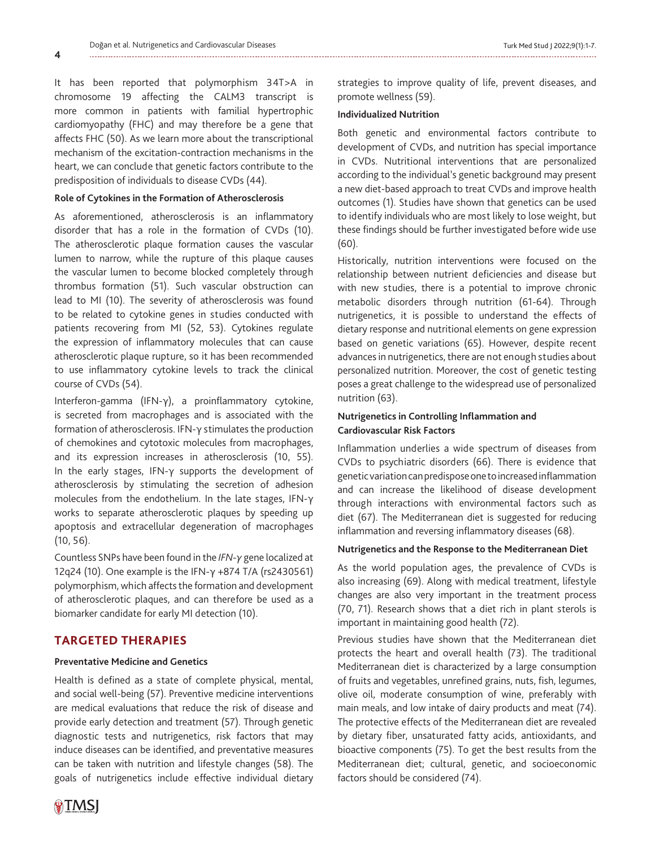**4**

It has been reported that polymorphism 34T>A in chromosome 19 affecting the CALM3 transcript is more common in patients with familial hypertrophic cardiomyopathy (FHC) and may therefore be a gene that affects FHC (50). As we learn more about the transcriptional mechanism of the excitation-contraction mechanisms in the heart, we can conclude that genetic factors contribute to the predisposition of individuals to disease CVDs (44).

## **Role of Cytokines in the Formation of Atherosclerosis**

As aforementioned, atherosclerosis is an inflammatory disorder that has a role in the formation of CVDs (10). The atherosclerotic plaque formation causes the vascular lumen to narrow, while the rupture of this plaque causes the vascular lumen to become blocked completely through thrombus formation (51). Such vascular obstruction can lead to MI (10). The severity of atherosclerosis was found to be related to cytokine genes in studies conducted with patients recovering from MI (52, 53). Cytokines regulate the expression of inflammatory molecules that can cause atherosclerotic plaque rupture, so it has been recommended to use inflammatory cytokine levels to track the clinical course of CVDs (54).

Interferon-gamma (IFN-γ), a proinflammatory cytokine, is secreted from macrophages and is associated with the formation of atherosclerosis. IFN-γ stimulates the production of chemokines and cytotoxic molecules from macrophages, and its expression increases in atherosclerosis (10, 55). In the early stages, IFN-γ supports the development of atherosclerosis by stimulating the secretion of adhesion molecules from the endothelium. In the late stages, IFN-γ works to separate atherosclerotic plaques by speeding up apoptosis and extracellular degeneration of macrophages (10, 56).

Countless SNPs have been found in the *IFN-γ* gene localized at 12q24 (10). One example is the IFN-γ +874 T/A (rs2430561) polymorphism, which affects the formation and development of atherosclerotic plaques, and can therefore be used as a biomarker candidate for early MI detection (10).

## **TARGETED THERAPIES**

## **Preventative Medicine and Genetics**

Health is defined as a state of complete physical, mental, and social well-being (57). Preventive medicine interventions are medical evaluations that reduce the risk of disease and provide early detection and treatment (57). Through genetic diagnostic tests and nutrigenetics, risk factors that may induce diseases can be identified, and preventative measures can be taken with nutrition and lifestyle changes (58). The goals of nutrigenetics include effective individual dietary

strategies to improve quality of life, prevent diseases, and promote wellness (59).

## **Individualized Nutrition**

Both genetic and environmental factors contribute to development of CVDs, and nutrition has special importance in CVDs. Nutritional interventions that are personalized according to the individual's genetic background may present a new diet-based approach to treat CVDs and improve health outcomes (1). Studies have shown that genetics can be used to identify individuals who are most likely to lose weight, but these findings should be further investigated before wide use (60).

Historically, nutrition interventions were focused on the relationship between nutrient deficiencies and disease but with new studies, there is a potential to improve chronic metabolic disorders through nutrition (61-64). Through nutrigenetics, it is possible to understand the effects of dietary response and nutritional elements on gene expression based on genetic variations (65). However, despite recent advances in nutrigenetics, there are not enough studies about personalized nutrition. Moreover, the cost of genetic testing poses a great challenge to the widespread use of personalized nutrition (63).

# **Nutrigenetics in Controlling Inflammation and Cardiovascular Risk Factors**

Inflammation underlies a wide spectrum of diseases from CVDs to psychiatric disorders (66). There is evidence that genetic variation can predispose one to increased inflammation and can increase the likelihood of disease development through interactions with environmental factors such as diet (67). The Mediterranean diet is suggested for reducing inflammation and reversing inflammatory diseases (68).

#### **Nutrigenetics and the Response to the Mediterranean Diet**

As the world population ages, the prevalence of CVDs is also increasing (69). Along with medical treatment, lifestyle changes are also very important in the treatment process (70, 71). Research shows that a diet rich in plant sterols is important in maintaining good health (72).

Previous studies have shown that the Mediterranean diet protects the heart and overall health (73). The traditional Mediterranean diet is characterized by a large consumption of fruits and vegetables, unrefined grains, nuts, fish, legumes, olive oil, moderate consumption of wine, preferably with main meals, and low intake of dairy products and meat (74). The protective effects of the Mediterranean diet are revealed by dietary fiber, unsaturated fatty acids, antioxidants, and bioactive components (75). To get the best results from the Mediterranean diet; cultural, genetic, and socioeconomic factors should be considered (74).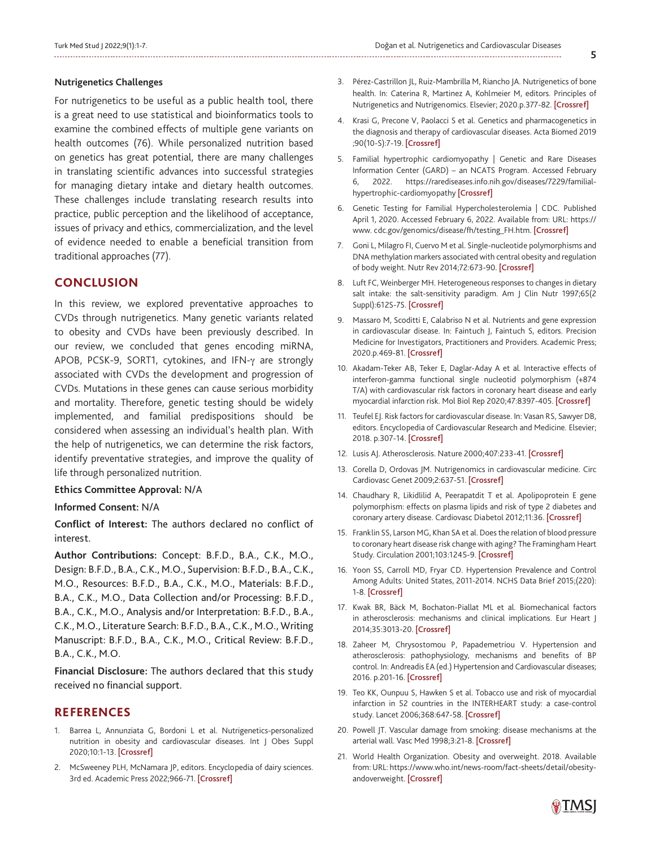#### **Nutrigenetics Challenges**

For nutrigenetics to be useful as a public health tool, there is a great need to use statistical and bioinformatics tools to examine the combined effects of multiple gene variants on health outcomes (76). While personalized nutrition based on genetics has great potential, there are many challenges in translating scientific advances into successful strategies for managing dietary intake and dietary health outcomes. These challenges include translating research results into practice, public perception and the likelihood of acceptance, issues of privacy and ethics, commercialization, and the level of evidence needed to enable a beneficial transition from traditional approaches (77).

# **CONCLUSION**

In this review, we explored preventative approaches to CVDs through nutrigenetics. Many genetic variants related to obesity and CVDs have been previously described. In our review, we concluded that genes encoding miRNA, APOB, PCSK-9, SORT1, cytokines, and IFN-γ are strongly associated with CVDs the development and progression of CVDs. Mutations in these genes can cause serious morbidity and mortality. Therefore, genetic testing should be widely implemented, and familial predispositions should be considered when assessing an individual's health plan. With the help of nutrigenetics, we can determine the risk factors, identify preventative strategies, and improve the quality of life through personalized nutrition.

#### **Ethics Committee Approval:** N/A

## **Informed Consent:** N/A

**Conflict of Interest:** The authors declared no conflict of interest.

**Author Contributions:** Concept: B.F.D., B.A., C.K., M.O., Design: B.F.D., B.A., C.K., M.O., Supervision: B.F.D., B.A., C.K., M.O., Resources: B.F.D., B.A., C.K., M.O., Materials: B.F.D., B.A., C.K., M.O., Data Collection and/or Processing: B.F.D., B.A., C.K., M.O., Analysis and/or Interpretation: B.F.D., B.A., C.K., M.O., Literature Search: B.F.D., B.A., C.K., M.O., Writing Manuscript: B.F.D., B.A., C.K., M.O., Critical Review: B.F.D., B.A., C.K., M.O.

**Financial Disclosure:** The authors declared that this study received no financial support.

## **REFERENCES**

- 1. Barrea L, Annunziata G, Bordoni L et al. Nutrigenetics-personalized nutrition in obesity and cardiovascular diseases. Int J Obes Suppl 2020;10:1-13. [\[Crossref\]](https://doi.org/10.1038/s41367-020-0014-4)
- 2. McSweeney PLH, McNamara JP, editors. Encyclopedia of dairy sciences. 3rd ed. Academic Press 2022;966-71. [\[Crossref\]](https://www.elsevier.com/books/encyclopedia-of-dairy-sciences/mcsweeney/978-0-12-818766-1)
- 3. Pérez-Castrillon JL, Ruiz-Mambrilla M, Riancho JA. Nutrigenetics of bone health. In: Caterina R, Martinez A, Kohlmeier M, editors. Principles of Nutrigenetics and Nutrigenomics. Elsevier; 2020.p.377-82. [\[Crossref\]](https://www.elsevier.com/books/principles-of-nutrigenetics-and-nutrigenomics/caterina/978-0-12-804572-5)
- 4. Krasi G, Precone V, Paolacci S et al. Genetics and pharmacogenetics in the diagnosis and therapy of cardiovascular diseases. Acta Biomed 2019 ;90(10-S):7-19. [[Crossref\]](https://doi.org/10.23750/abm.v90i10-S.8748)
- 5. Familial hypertrophic cardiomyopathy | Genetic and Rare Diseases Information Center (GARD) – an NCATS Program. Accessed February 6, 2022. https://rarediseases.info.nih.gov/diseases/7229/familialhypertrophic-cardiomyopathy [\[Crossref\]](https://rarediseases.info.nih.gov/diseases/7229/familial-hypertrophic-cardiomyopathy)
- 6. Genetic Testing for Familial Hypercholesterolemia | CDC. Published April 1, 2020. Accessed February 6, 2022. Available from: URL: https:// www. cdc.gov/genomics/disease/fh/testing\_FH.htm. [\[Crossref\]](https://www.cdc.gov/genomics/disease/fh/testing_FH.htm)
- 7. Goni L, Milagro FI, Cuervo M et al. Single-nucleotide polymorphisms and DNA methylation markers associated with central obesity and regulation of body weight. Nutr Rev 2014;72:673-90. [[Crossref\]](https://doi.org/10.1111/nure.12143)
- 8. Luft FC, Weinberger MH. Heterogeneous responses to changes in dietary salt intake: the salt-sensitivity paradigm. Am J Clin Nutr 1997;65(2 Suppl):612S-7S. [[Crossref\]](https://doi.org/10.1093/ajcn/65.2.612S)
- 9. Massaro M, Scoditti E, Calabriso N et al. Nutrients and gene expression in cardiovascular disease. In: Faintuch J, Faintuch S, editors. Precision Medicine for Investigators, Practitioners and Providers. Academic Press; 2020.p.469-81. [[Crossref\]](https://doi.org/10.1016/B978-0-12-804572-5.00062-8)
- 10. Akadam-Teker AB, Teker E, Daglar-Aday A et al. Interactive effects of interferon-gamma functional single nucleotid polymorphism (+874 T/A) with cardiovascular risk factors in coronary heart disease and early myocardial infarction risk. Mol Biol Rep 2020;47:8397-405. [\[Crossref\]](https://doi.org/10.1007/s11033-020-05877-7)
- 11. Teufel EJ. Risk factors for cardiovascular disease. In: Vasan RS, Sawyer DB, editors. Encyclopedia of Cardiovascular Research and Medicine. Elsevier; 2018. p.307-14. [\[Crossref\]](https://www.elsevier.com/books/encyclopedia-of-cardiovascular-research-and-medicine/sawyer/978-0-12-809657-4)
- 12. Lusis AJ. Atherosclerosis. Nature 2000;407:233-41. [[Crossref\]](https://doi.org/10.1038/35025203)
- 13. Corella D, Ordovas JM. Nutrigenomics in cardiovascular medicine. Circ Cardiovasc Genet 2009;2:637-51. [[Crossref\]](https://doi.org/10.1161/CIRCGENETICS.109.891366)
- 14. Chaudhary R, Likidlilid A, Peerapatdit T et al. Apolipoprotein E gene polymorphism: effects on plasma lipids and risk of type 2 diabetes and coronary artery disease. Cardiovasc Diabetol 2012;11:36. [[Crossref\]](https://doi.org/10.1186/1475-2840-11-36)
- 15. Franklin SS, Larson MG, Khan SA et al. Does the relation of blood pressure to coronary heart disease risk change with aging? The Framingham Heart Study. Circulation 2001;103:1245-9. [\[Crossref\]](https://doi.org/10.1161/01.cir.103.9.1245)
- 16. Yoon SS, Carroll MD, Fryar CD. Hypertension Prevalence and Control Among Adults: United States, 2011-2014. NCHS Data Brief 2015;(220): 1-8. [\[Crossref\]](https://www.cdc.gov/nchs/data/databriefs/db220.pdf)
- 17. Kwak BR, Bäck M, Bochaton-Piallat ML et al. Biomechanical factors in atherosclerosis: mechanisms and clinical implications. Eur Heart J 2014;35:3013-20. [\[Crossref\]](https://doi.org/10.1093/eurheartj/ehu353)
- 18. Zaheer M, Chrysostomou P, Papademetriou V. Hypertension and atherosclerosis: pathophysiology, mechanisms and benefits of BP control. In: Andreadis EA (ed.) Hypertension and Cardiovascular diseases; 2016. p.201-16. [[Crossref\]](https://link.springer.com/book/10.1007/978-3-319-39599-9)
- 19. Teo KK, Ounpuu S, Hawken S et al. Tobacco use and risk of myocardial infarction in 52 countries in the INTERHEART study: a case-control study. Lancet 2006;368:647-58. [\[Crossref\]](https://doi.org/10.1016/S0140-6736(06)69249-0)
- 20. Powell JT. Vascular damage from smoking: disease mechanisms at the arterial wall. Vasc Med 1998;3:21-8. [\[Crossref\]](https://doi.org/10.1177/1358836X9800300105)
- 21. World Health Organization. Obesity and overweight. 2018. Available from: URL: https://www.who.int/news-room/fact-sheets/detail/obesityandoverweight. [[Crossref\]](https://www.who.int/news-room/fact-sheets/detail/obesity-andoverweight)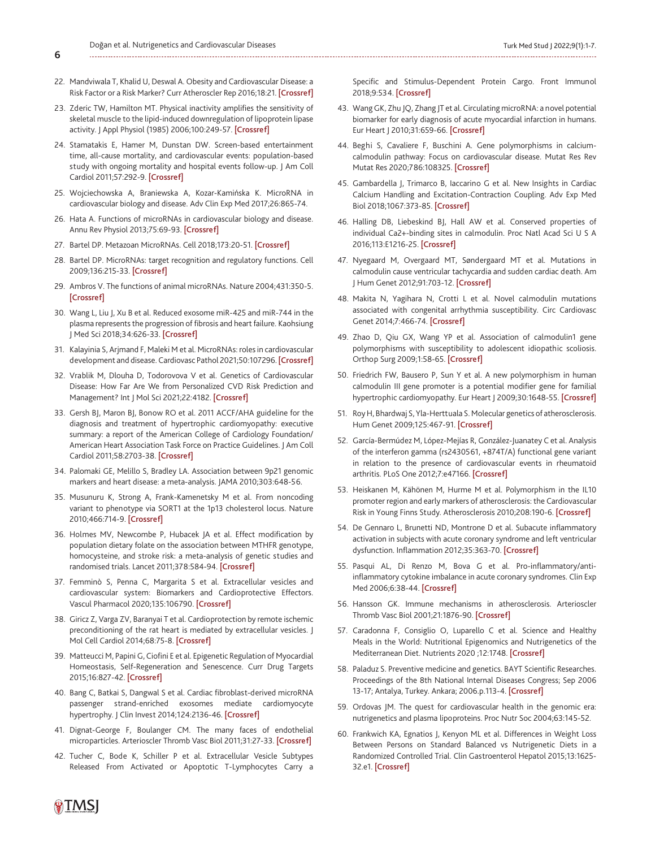- 22. Mandviwala T, Khalid U, Deswal A. Obesity and Cardiovascular Disease: a Risk Factor or a Risk Marker? Curr Atheroscler Rep 2016;18:21. [\[Crossref\]](https://doi.org/10.1007/s11883-016-0575-4)
- 23. Zderic TW, Hamilton MT. Physical inactivity amplifies the sensitivity of skeletal muscle to the lipid-induced downregulation of lipoprotein lipase activity. | Appl Physiol (1985) 2006;100:249-57. [[Crossref](https://doi.org/10.1152/japplphysiol.00925.2005)]
- 24. Stamatakis E, Hamer M, Dunstan DW. Screen-based entertainment time, all-cause mortality, and cardiovascular events: population-based study with ongoing mortality and hospital events follow-up. J Am Coll Cardiol 2011;57:292-9. [\[Crossref](https://doi.org/10.1016/j.jacc.2010.05.065)]
- 25. [Wojciechowska A, Braniewska A, Kozar-Kamińska K. MicroRNA in](https://doi.org/10.17219/acem/62915)  cardiovascular biology and disease. Adv Clin Exp Med 2017;26:865-74.
- 26. Hata A. Functions of microRNAs in cardiovascular biology and disease. Annu Rev Physiol 2013;75:69-93. [\[Crossref\]](https://doi.org/10.1146/annurev-physiol-030212-183737)
- 27. Bartel DP. Metazoan MicroRNAs. Cell 2018;173:20-51. [\[Crossref](https://doi.org/10.1016/j.cell.2018.03.006)]
- 28. Bartel DP. MicroRNAs: target recognition and regulatory functions. Cell 2009;136:215-33. [\[Crossref\]](https://doi.org/10.1016/j.cell.2009.01.002)
- 29. Ambros V. The functions of animal microRNAs. Nature 2004;431:350-5. [\[Crossref](https://doi.org/10.1038/nature02871)]
- 30. Wang L, Liu J, Xu B et al. Reduced exosome miR-425 and miR-744 in the plasma represents the progression of fibrosis and heart failure. Kaohsiung J Med Sci 2018;34:626-33. [[Crossref\]](https://doi.org/10.1016/j.kjms.2018.05.008)
- 31. Kalayinia S, Arjmand F, Maleki M et al. MicroRNAs: roles in cardiovascular development and disease. Cardiovasc Pathol 2021;50:107296. [[Crossref](https://doi.org/10.1016/j.carpath.2020.107296)]
- 32. Vrablik M, Dlouha D, Todorovova V et al. Genetics of Cardiovascular Disease: How Far Are We from Personalized CVD Risk Prediction and Management? Int J Mol Sci 2021;22:4182. [[Crossref](https://doi.org/10.3390/ijms22084182)]
- 33. Gersh BJ, Maron BJ, Bonow RO et al. 2011 ACCF/AHA guideline for the diagnosis and treatment of hypertrophic cardiomyopathy: executive summary: a report of the American College of Cardiology Foundation/ American Heart Association Task Force on Practice Guidelines. J Am Coll Cardiol 2011;58:2703-38. [[Crossref\]](https://doi.org/10.1161/CIR.0b013e318223e230)
- 34. [Palomaki GE, Melillo S, Bradley LA. Association between 9p21 genomic](https://doi.org/10.1001/jama.2010.118) markers and heart disease: a meta-analysis. JAMA 2010;303:648-56.
- 35. Musunuru K, Strong A, Frank-Kamenetsky M et al. From noncoding variant to phenotype via SORT1 at the 1p13 cholesterol locus. Nature 2010;466:714-9. [\[Crossref\]](https://doi.org/10.1038/nature09266)
- 36. Holmes MV, Newcombe P, Hubacek JA et al. Effect modification by population dietary folate on the association between MTHFR genotype, homocysteine, and stroke risk: a meta-analysis of genetic studies and randomised trials. Lancet 2011;378:584-94. [[Crossref\]](https://doi.org/10.1016/S0140-6736(11)60872-6)
- 37. Femminò S, Penna C, Margarita S et al. Extracellular vesicles and cardiovascular system: Biomarkers and Cardioprotective Effectors. Vascul Pharmacol 2020;135:106790. [[Crossref\]](https://doi.org/10.1016/j.vph.2020.106790)
- 38. Giricz Z, Varga ZV, Baranyai T et al. Cardioprotection by remote ischemic preconditioning of the rat heart is mediated by extracellular vesicles. J Mol Cell Cardiol 2014;68:75-8. [\[Crossref\]](https://doi.org/10.1016/j.yjmcc.2014.01.004)
- 39. Matteucci M, Papini G, Ciofini E et al. Epigenetic Regulation of Myocardial Homeostasis, Self-Regeneration and Senescence. Curr Drug Targets 2015;16:827-42. [\[Crossref\]](https://doi.org/10.5167/uzh-119899)
- 40. Bang C, Batkai S, Dangwal S et al. Cardiac fibroblast-derived microRNA passenger strand-enriched exosomes mediate cardiomyocyte hypertrophy. J Clin Invest 2014;124:2136-46. [[Crossref\]](https://doi.org/10.1172/JCI70577)
- 41. Dignat-George F, Boulanger CM. The many faces of endothelial microparticles. Arterioscler Thromb Vasc Biol 2011;31:27-33. [\[Crossref\]](https://doi.org/10.1161/ATVBAHA.110.218123)
- 42. Tucher C, Bode K, Schiller P et al. Extracellular Vesicle Subtypes Released From Activated or Apoptotic T-Lymphocytes Carry a

Specific and Stimulus-Dependent Protein Cargo. Front Immunol 2018;9:534. [[Crossref\]](https://doi.org/10.3389/fimmu.2018.00534)

- 43. Wang GK, Zhu JQ, Zhang JT et al. Circulating microRNA: a novel potential biomarker for early diagnosis of acute myocardial infarction in humans. Eur Heart J 2010;31:659-66. [\[Crossref\]](https://doi.org/10.1093/eurheartj/ehq013)
- 44. Beghi S, Cavaliere F, Buschini A. Gene polymorphisms in calciumcalmodulin pathway: Focus on cardiovascular disease. Mutat Res Rev Mutat Res 2020;786:108325. [\[Crossref\]](https://doi.org/10.1016/j.mrrev.2020.108325)
- 45. Gambardella J, Trimarco B, Iaccarino G et al. New Insights in Cardiac Calcium Handling and Excitation-Contraction Coupling. Adv Exp Med Biol 2018;1067:373-85. [[Crossref](https://doi.org/10.1007/5584_2017_106)]
- 46. Halling DB, Liebeskind BJ, Hall AW et al. Conserved properties of individual Ca2+-binding sites in calmodulin. Proc Natl Acad Sci U S A 2016;113:E1216-25. [[Crossref](https://doi.org/10.1073/pnas.1600385113)]
- 47. Nyegaard M, Overgaard MT, Søndergaard MT et al. Mutations in calmodulin cause ventricular tachycardia and sudden cardiac death. Am J Hum Genet 2012;91:703-12. [[Crossref](https://doi.org/10.1016/j.ajhg.2012.08.015)]
- 48. Makita N, Yagihara N, Crotti L et al. Novel calmodulin mutations associated with congenital arrhythmia susceptibility. Circ Cardiovasc Genet 2014;7:466-74. [\[Crossref\]](https://doi.org/10.1161/CIRCGENETICS.113.000459)
- 49. Zhao D, Qiu GX, Wang YP et al. Association of calmodulin1 gene polymorphisms with susceptibility to adolescent idiopathic scoliosis. Orthop Surg 2009;1:58-65. [[Crossref\]](https://doi.org/10.1111/j.1757-7861.2008.00011.x)
- 50. Friedrich FW, Bausero P, Sun Y et al. A new polymorphism in human calmodulin III gene promoter is a potential modifier gene for familial hypertrophic cardiomyopathy. Eur Heart J 2009;30:1648-55. [\[Crossref\]](https://doi.org/10.1093/eurheartj/ehp153)
- 51. Roy H, Bhardwaj S, Yla-Herttuala S. Molecular genetics of atherosclerosis. Hum Genet 2009;125:467-91. [[Crossref\]](https://doi.org/10.1007/s00439-009-0654-5)
- 52. García-Bermúdez M, López-Mejías R, González-Juanatey C et al. Analysis of the interferon gamma (rs2430561, +874T/A) functional gene variant in relation to the presence of cardiovascular events in rheumatoid arthritis. PLoS One 2012;7:e47166. [\[Crossref\]](https://doi.org/10.1371/journal.pone.0047166)
- 53. Heiskanen M, Kähönen M, Hurme M et al. Polymorphism in the IL10 promoter region and early markers of atherosclerosis: the Cardiovascular Risk in Young Finns Study. Atherosclerosis 2010;208:190-6. [[Crossref\]](https://doi.org/10.1016/j.atherosclerosis.2009.06.032)
- 54. De Gennaro L, Brunetti ND, Montrone D et al. Subacute inflammatory activation in subjects with acute coronary syndrome and left ventricular dysfunction. Inflammation 2012;35:363-70. [\[Crossref](https://doi.org/10.1007/s10753-011-9326-4)]
- 55. Pasqui AL, Di Renzo M, Bova G et al. Pro-inflammatory/antiinflammatory cytokine imbalance in acute coronary syndromes. Clin Exp Med 2006;6:38-44. [\[Crossref\]](https://doi.org/10.1007/s10238-006-0092-9)
- 56. Hansson GK. Immune mechanisms in atherosclerosis. Arterioscler Thromb Vasc Biol 2001;21:1876-90. [[Crossref\]](https://doi.org/10.1161/hq1201.100220)
- 57. Caradonna F, Consiglio O, Luparello C et al. Science and Healthy Meals in the World: Nutritional Epigenomics and Nutrigenetics of the Mediterranean Diet. Nutrients 2020 ;12:1748. [\[Crossref\]](https://doi.org/10.3390/nu12061748)
- 58. Paladuz S. Preventive medicine and genetics. BAYT Scientific Researches. Proceedings of the 8th National Internal Diseases Congress; Sep 2006 13-17; Antalya, Turkey. Ankara; 2006.p.113-4. [Crossref]
- 59. Ordovas JM. The quest for cardiovascular health in the genomic era: [nutrigenetics and plasma lipoproteins. Proc Nutr Soc 2004;63:145-52.](https://doi.org/10.1079/PNS2003313)
- 60. Frankwich KA, Egnatios J, Kenyon ML et al. Differences in Weight Loss Between Persons on Standard Balanced vs Nutrigenetic Diets in a Randomized Controlled Trial. Clin Gastroenterol Hepatol 2015;13:1625- 32.e1. [[Crossref\]](https://doi.org/10.1016/j.cgh.2015.02.044)